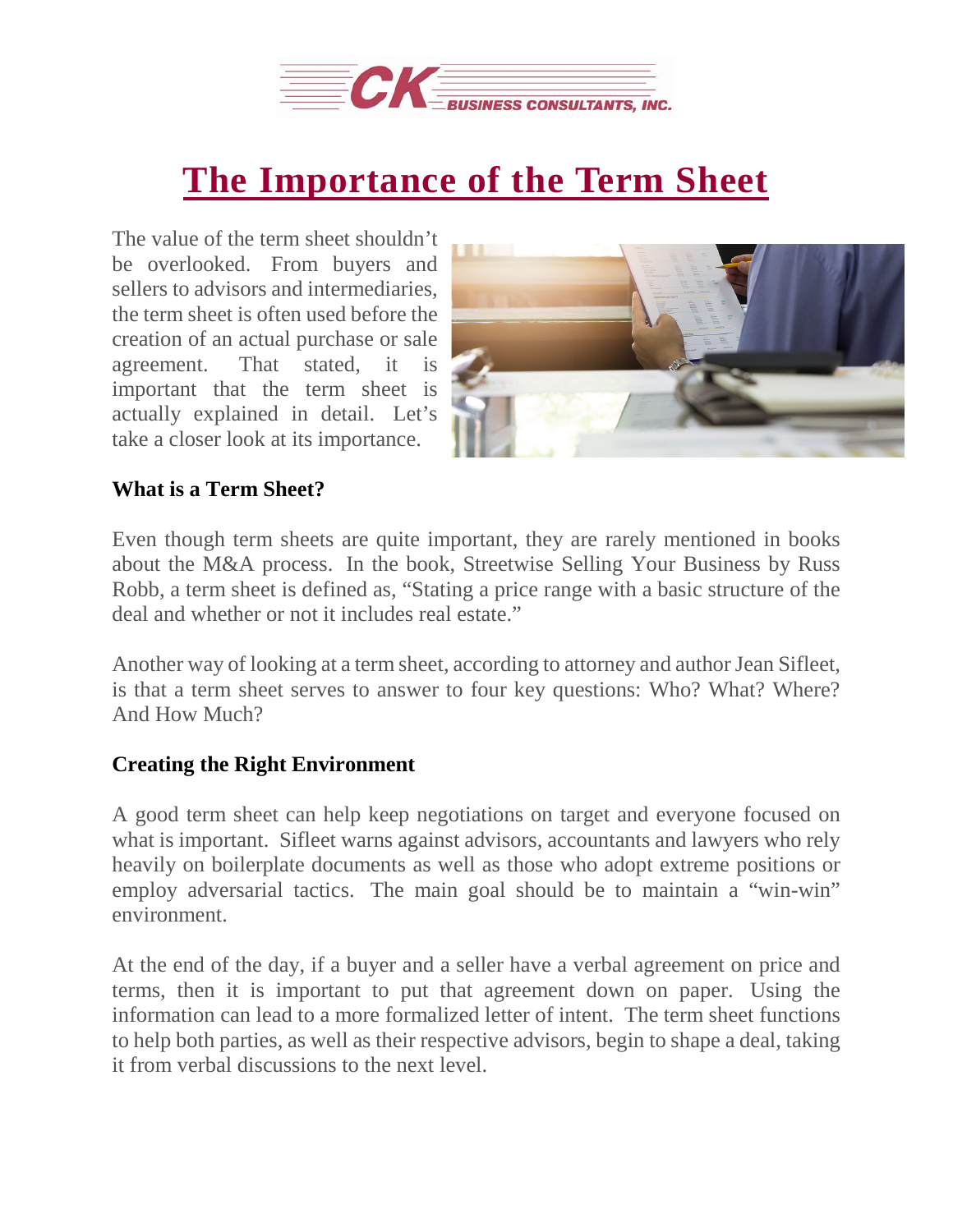

## **The [Importance](https://deal-studio.com/the-importance-of-the-term-sheet/) of the Term Sheet**

The value of the term sheet shouldn't be overlooked. From buyers and sellers to advisors and intermediaries, the term sheet is often used before the creation of an actual purchase or sale agreement. That stated, it is important that the term sheet is actually explained in detail. Let's take a closer look at its importance.



## **What is a Term Sheet?**

Even though term sheets are quite important, they are rarely mentioned in books about the M&A process. In the book, Streetwise Selling Your Business by Russ Robb, a term sheet is defined as, "Stating a price range with a basic structure of the deal and whether or not it includes real estate."

Another way of looking at a term sheet, according to attorney and author Jean Sifleet, is that a term sheet serves to answer to four key questions: Who? What? Where? And How Much?

## **Creating the Right Environment**

A good term sheet can help keep negotiations on target and everyone focused on what is important. Sifleet warns against advisors, accountants and lawyers who rely heavily on boilerplate documents as well as those who adopt extreme positions or employ adversarial tactics. The main goal should be to maintain a "win-win" environment.

At the end of the day, if a buyer and a seller have a verbal agreement on price and terms, then it is important to put that agreement down on paper. Using the information can lead to a more formalized letter of intent. The term sheet functions to help both parties, as well as their respective advisors, begin to shape a deal, taking it from verbal discussions to the next level.